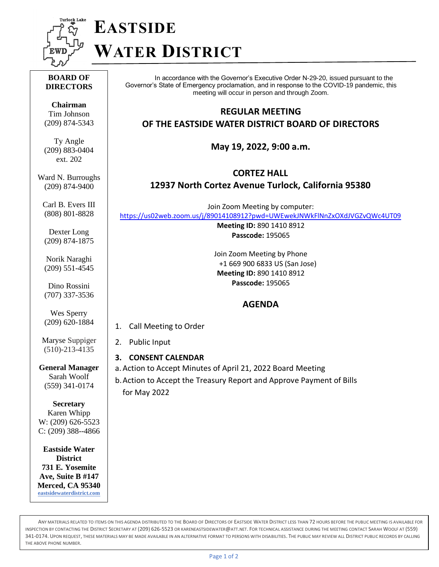

# **EASTSIDE WATER DISTRICT**

#### **BOARD OF DIRECTORS**

**Chairman** Tim Johnson (209) 874-5343

Ty Angle (209) 883-0404 ext. 202

Ward N. Burroughs (209) 874-9400

Carl B. Evers III (808) 801-8828

Dexter Long (209) 874-1875

Norik Naraghi (209) 551-4545

Dino Rossini (707) 337-3536

Wes Sperry (209) 620-1884

Maryse Suppiger (510)-213-4135

**General Manager** Sarah Woolf (559) 341-0174

**Secretary** Karen Whipp W: (209) 626-5523 C: (209) 388--4866

**Eastside Water District 731 E. Yosemite Ave, Suite B #147 Merced, CA 95340 [eastsidewaterdistrict.com](http://www.eastsidewaterdistrict.com/)**

In accordance with the Governor's Executive Order N-29-20, issued pursuant to the Governor's State of Emergency proclamation, and in response to the COVID-19 pandemic, this meeting will occur in person and through Zoom.

### **REGULAR MEETING**

**OF THE EASTSIDE WATER DISTRICT BOARD OF DIRECTORS**

**May 19, 2022, 9:00 a.m.**

**CORTEZ HALL**

## **12937 North Cortez Avenue Turlock, California 95380**

Join Zoom Meeting by computer: <https://us02web.zoom.us/j/89014108912?pwd=UWEwekJNWkFlNnZxOXdJVGZvQWc4UT09>

> **Meeting ID:** 890 1410 8912 **Passcode:** 195065

Join Zoom Meeting by Phone +1 669 900 6833 US (San Jose) **Meeting ID:** 890 1410 8912 **Passcode:** 195065

# **AGENDA**

1. Call Meeting to Order

#### 2. Public Input

- **3. CONSENT CALENDAR**
- a. Action to Accept Minutes of April 21, 2022 Board Meeting
- b.Action to Accept the Treasury Report and Approve Payment of Bills for May 2022

ANY MATERIALS RELATED TO ITEMS ON THIS AGENDA DISTRIBUTED TO THE BOARD OF DIRECTORS OF EASTSIDE WATER DISTRICT LESS THAN 72 HOURS BEFORE THE PUBLIC MEETING IS AVAILABLE FOR INSPECTION BY CONTACTING THE DISTRICT SECRETARY AT (209) 626-5523 O[R KARENEASTSIDEWATER](mailto:kareneastsidewater@att.net)@ATT.NET. FOR TECHNICAL ASSISTANCE DURING THE MEETING CONTACT SARAH WOOLF AT (559) 341-0174. UPON REQUEST, THESE MATERIALS MAY BE MADE AVAILABLE IN AN ALTERNATIVE FORMAT TO PERSONS WITH DISABILITIES. THE PUBLIC MAY REVIEW ALL DISTRICT PUBLIC RECORDS BY CALLING THE ABOVE PHONE NUMBER.